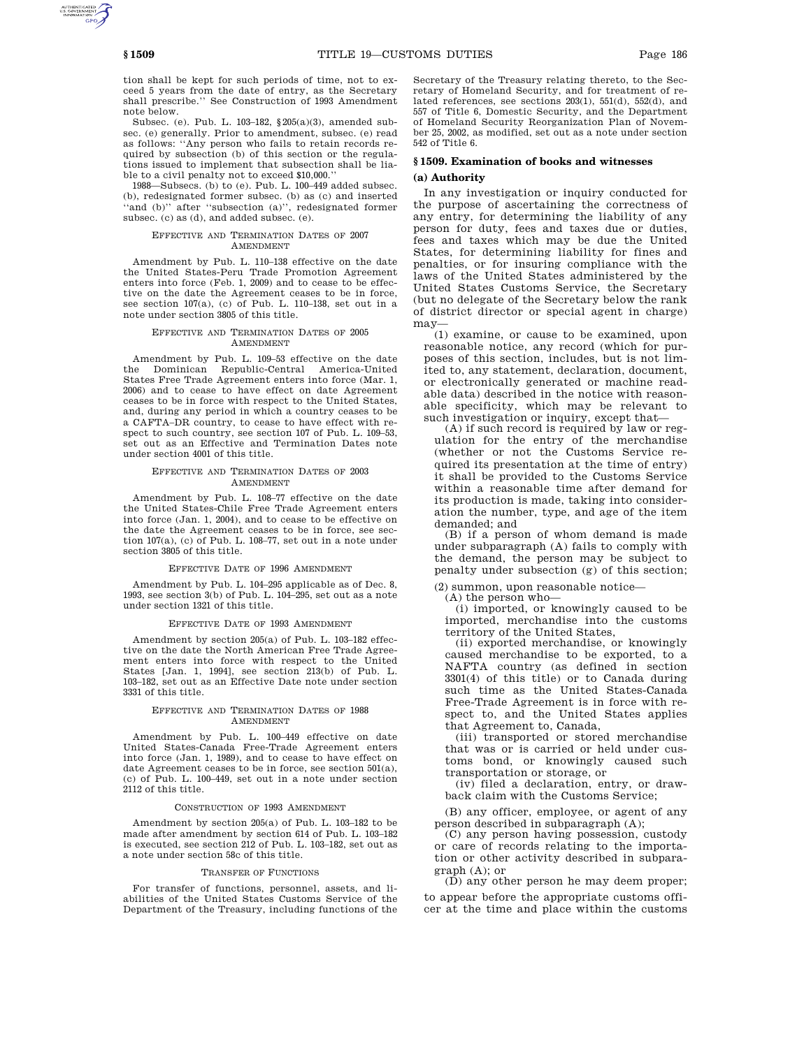tion shall be kept for such periods of time, not to exceed 5 years from the date of entry, as the Secretary shall prescribe.'' See Construction of 1993 Amendment note below.

Subsec. (e). Pub. L. 103–182, §205(a)(3), amended subsec. (e) generally. Prior to amendment, subsec. (e) read as follows: ''Any person who fails to retain records required by subsection (b) of this section or the regulations issued to implement that subsection shall be liable to a civil penalty not to exceed \$10,000.''

1988—Subsecs. (b) to (e). Pub. L. 100–449 added subsec. (b), redesignated former subsec. (b) as (c) and inserted ''and (b)'' after ''subsection (a)'', redesignated former subsec. (c) as (d), and added subsec. (e).

#### EFFECTIVE AND TERMINATION DATES OF 2007 AMENDMENT

Amendment by Pub. L. 110–138 effective on the date the United States-Peru Trade Promotion Agreement enters into force (Feb. 1, 2009) and to cease to be effective on the date the Agreement ceases to be in force, see section 107(a), (c) of Pub. L. 110–138, set out in a note under section 3805 of this title.

### EFFECTIVE AND TERMINATION DATES OF 2005 AMENDMENT

Amendment by Pub. L. 109–53 effective on the date<br>the Dominican Republic-Central America-United Dominican Republic-Central America-United States Free Trade Agreement enters into force (Mar. 1, 2006) and to cease to have effect on date Agreement ceases to be in force with respect to the United States, and, during any period in which a country ceases to be a CAFTA–DR country, to cease to have effect with respect to such country, see section 107 of Pub. L. 109–53, set out as an Effective and Termination Dates note under section 4001 of this title.

### EFFECTIVE AND TERMINATION DATES OF 2003 AMENDMENT

Amendment by Pub. L. 108–77 effective on the date the United States-Chile Free Trade Agreement enters into force (Jan. 1, 2004), and to cease to be effective on the date the Agreement ceases to be in force, see section 107(a), (c) of Pub. L. 108–77, set out in a note under section 3805 of this title.

#### EFFECTIVE DATE OF 1996 AMENDMENT

Amendment by Pub. L. 104–295 applicable as of Dec. 8, 1993, see section 3(b) of Pub. L. 104–295, set out as a note under section 1321 of this title.

#### EFFECTIVE DATE OF 1993 AMENDMENT

Amendment by section 205(a) of Pub. L. 103–182 effective on the date the North American Free Trade Agreement enters into force with respect to the United States [Jan. 1, 1994], see section 213(b) of Pub. L. 103–182, set out as an Effective Date note under section 3331 of this title.

#### EFFECTIVE AND TERMINATION DATES OF 1988 AMENDMENT

Amendment by Pub. L. 100–449 effective on date United States-Canada Free-Trade Agreement enters into force (Jan. 1, 1989), and to cease to have effect on date Agreement ceases to be in force, see section 501(a), (c) of Pub. L. 100–449, set out in a note under section 2112 of this title.

#### CONSTRUCTION OF 1993 AMENDMENT

Amendment by section 205(a) of Pub. L. 103–182 to be made after amendment by section 614 of Pub. L. 103–182 is executed, see section 212 of Pub. L. 103–182, set out as a note under section 58c of this title.

#### TRANSFER OF FUNCTIONS

For transfer of functions, personnel, assets, and liabilities of the United States Customs Service of the Department of the Treasury, including functions of the Secretary of the Treasury relating thereto, to the Secretary of Homeland Security, and for treatment of related references, see sections 203(1), 551(d), 552(d), and 557 of Title 6, Domestic Security, and the Department of Homeland Security Reorganization Plan of November 25, 2002, as modified, set out as a note under section 542 of Title 6.

## **§ 1509. Examination of books and witnesses (a) Authority**

In any investigation or inquiry conducted for the purpose of ascertaining the correctness of any entry, for determining the liability of any person for duty, fees and taxes due or duties, fees and taxes which may be due the United States, for determining liability for fines and penalties, or for insuring compliance with the laws of the United States administered by the United States Customs Service, the Secretary (but no delegate of the Secretary below the rank of district director or special agent in charge) may—

(1) examine, or cause to be examined, upon reasonable notice, any record (which for purposes of this section, includes, but is not limited to, any statement, declaration, document, or electronically generated or machine readable data) described in the notice with reasonable specificity, which may be relevant to such investigation or inquiry, except that—

(A) if such record is required by law or regulation for the entry of the merchandise (whether or not the Customs Service required its presentation at the time of entry) it shall be provided to the Customs Service within a reasonable time after demand for its production is made, taking into consideration the number, type, and age of the item demanded; and

(B) if a person of whom demand is made under subparagraph (A) fails to comply with the demand, the person may be subject to penalty under subsection (g) of this section;

(2) summon, upon reasonable notice—

(A) the person who—

(i) imported, or knowingly caused to be imported, merchandise into the customs territory of the United States,

(ii) exported merchandise, or knowingly caused merchandise to be exported, to a NAFTA country (as defined in section 3301(4) of this title) or to Canada during such time as the United States-Canada Free-Trade Agreement is in force with respect to, and the United States applies that Agreement to, Canada,

(iii) transported or stored merchandise that was or is carried or held under customs bond, or knowingly caused such transportation or storage, or

(iv) filed a declaration, entry, or drawback claim with the Customs Service;

(B) any officer, employee, or agent of any person described in subparagraph (A);

(C) any person having possession, custody or care of records relating to the importation or other activity described in subparagraph (A); or

(D) any other person he may deem proper; to appear before the appropriate customs officer at the time and place within the customs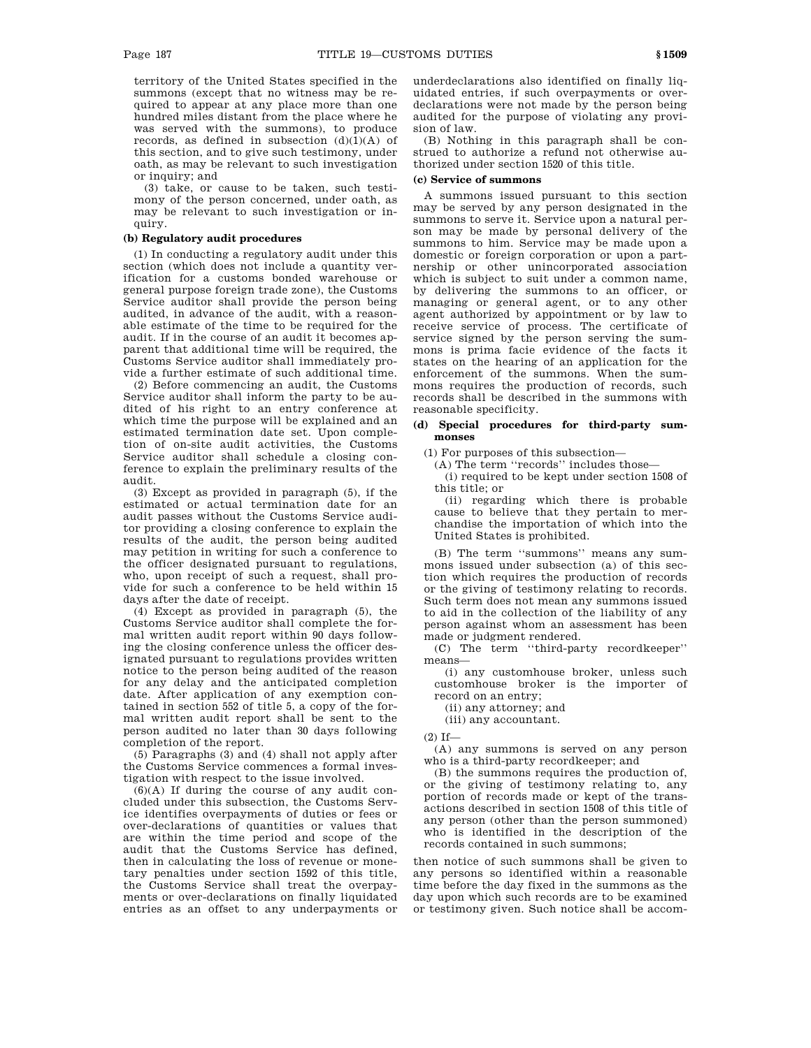territory of the United States specified in the summons (except that no witness may be required to appear at any place more than one hundred miles distant from the place where he was served with the summons), to produce records, as defined in subsection  $(d)(1)(A)$  of this section, and to give such testimony, under oath, as may be relevant to such investigation or inquiry; and

(3) take, or cause to be taken, such testimony of the person concerned, under oath, as may be relevant to such investigation or inquiry.

## **(b) Regulatory audit procedures**

(1) In conducting a regulatory audit under this section (which does not include a quantity verification for a customs bonded warehouse or general purpose foreign trade zone), the Customs Service auditor shall provide the person being audited, in advance of the audit, with a reasonable estimate of the time to be required for the audit. If in the course of an audit it becomes apparent that additional time will be required, the Customs Service auditor shall immediately provide a further estimate of such additional time.

(2) Before commencing an audit, the Customs Service auditor shall inform the party to be audited of his right to an entry conference at which time the purpose will be explained and an estimated termination date set. Upon completion of on-site audit activities, the Customs Service auditor shall schedule a closing conference to explain the preliminary results of the audit.

(3) Except as provided in paragraph (5), if the estimated or actual termination date for an audit passes without the Customs Service auditor providing a closing conference to explain the results of the audit, the person being audited may petition in writing for such a conference to the officer designated pursuant to regulations, who, upon receipt of such a request, shall provide for such a conference to be held within 15 days after the date of receipt.

(4) Except as provided in paragraph (5), the Customs Service auditor shall complete the formal written audit report within 90 days following the closing conference unless the officer designated pursuant to regulations provides written notice to the person being audited of the reason for any delay and the anticipated completion date. After application of any exemption contained in section 552 of title 5, a copy of the formal written audit report shall be sent to the person audited no later than 30 days following completion of the report.

(5) Paragraphs (3) and (4) shall not apply after the Customs Service commences a formal investigation with respect to the issue involved.

 $(6)(A)$  If during the course of any audit concluded under this subsection, the Customs Service identifies overpayments of duties or fees or over-declarations of quantities or values that are within the time period and scope of the audit that the Customs Service has defined, then in calculating the loss of revenue or monetary penalties under section 1592 of this title, the Customs Service shall treat the overpayments or over-declarations on finally liquidated entries as an offset to any underpayments or underdeclarations also identified on finally liquidated entries, if such overpayments or overdeclarations were not made by the person being audited for the purpose of violating any provision of law.

(B) Nothing in this paragraph shall be construed to authorize a refund not otherwise authorized under section 1520 of this title.

## **(c) Service of summons**

A summons issued pursuant to this section may be served by any person designated in the summons to serve it. Service upon a natural person may be made by personal delivery of the summons to him. Service may be made upon a domestic or foreign corporation or upon a partnership or other unincorporated association which is subject to suit under a common name, by delivering the summons to an officer, or managing or general agent, or to any other agent authorized by appointment or by law to receive service of process. The certificate of service signed by the person serving the summons is prima facie evidence of the facts it states on the hearing of an application for the enforcement of the summons. When the summons requires the production of records, such records shall be described in the summons with reasonable specificity.

## **(d) Special procedures for third-party summonses**

(1) For purposes of this subsection—

(A) The term ''records'' includes those—

(i) required to be kept under section 1508 of this title; or

(ii) regarding which there is probable cause to believe that they pertain to merchandise the importation of which into the United States is prohibited.

(B) The term ''summons'' means any summons issued under subsection (a) of this section which requires the production of records or the giving of testimony relating to records. Such term does not mean any summons issued to aid in the collection of the liability of any person against whom an assessment has been made or judgment rendered.

(C) The term ''third-party recordkeeper'' means—

(i) any customhouse broker, unless such customhouse broker is the importer of record on an entry;

(ii) any attorney; and

(iii) any accountant.

 $(2)$  If-

(A) any summons is served on any person who is a third-party recordkeeper; and

(B) the summons requires the production of, or the giving of testimony relating to, any portion of records made or kept of the transactions described in section 1508 of this title of any person (other than the person summoned) who is identified in the description of the records contained in such summons;

then notice of such summons shall be given to any persons so identified within a reasonable time before the day fixed in the summons as the day upon which such records are to be examined or testimony given. Such notice shall be accom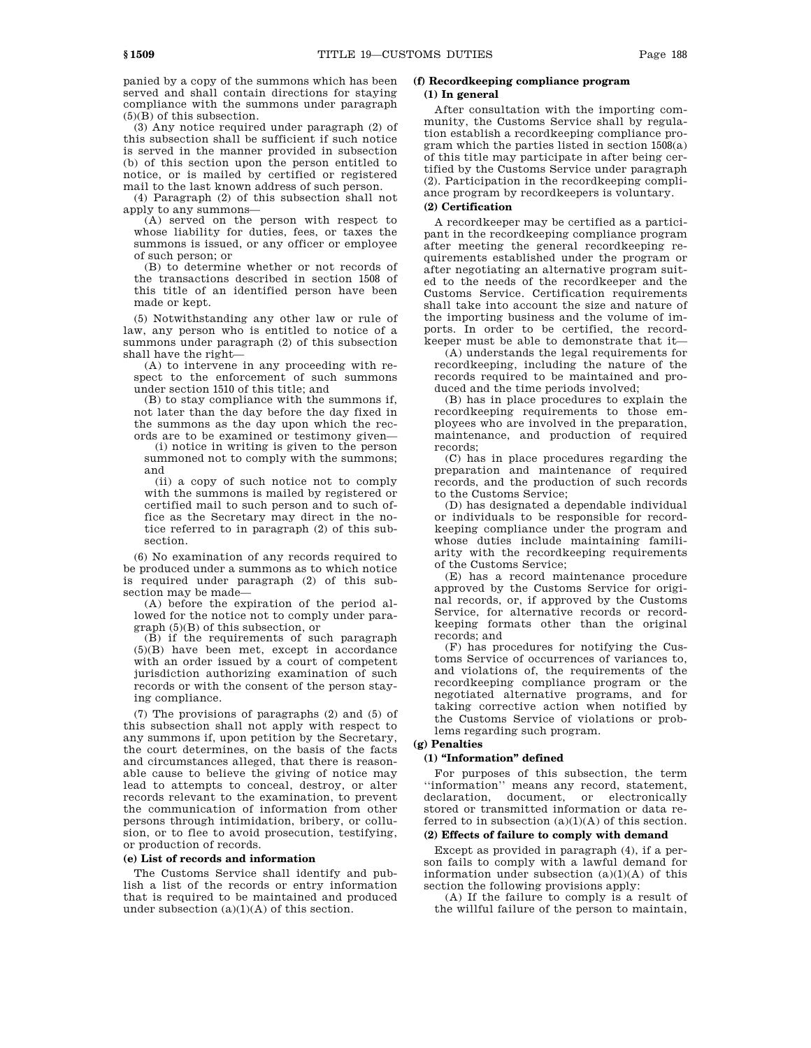panied by a copy of the summons which has been served and shall contain directions for staying compliance with the summons under paragraph (5)(B) of this subsection.

(3) Any notice required under paragraph (2) of this subsection shall be sufficient if such notice is served in the manner provided in subsection (b) of this section upon the person entitled to notice, or is mailed by certified or registered mail to the last known address of such person.

(4) Paragraph (2) of this subsection shall not apply to any summons—

(A) served on the person with respect to whose liability for duties, fees, or taxes the summons is issued, or any officer or employee of such person; or

(B) to determine whether or not records of the transactions described in section 1508 of this title of an identified person have been made or kept.

(5) Notwithstanding any other law or rule of law, any person who is entitled to notice of a summons under paragraph (2) of this subsection shall have the right—

(A) to intervene in any proceeding with respect to the enforcement of such summons under section 1510 of this title; and

(B) to stay compliance with the summons if, not later than the day before the day fixed in the summons as the day upon which the records are to be examined or testimony given—

(i) notice in writing is given to the person summoned not to comply with the summons; and

(ii) a copy of such notice not to comply with the summons is mailed by registered or certified mail to such person and to such office as the Secretary may direct in the notice referred to in paragraph (2) of this subsection.

(6) No examination of any records required to be produced under a summons as to which notice is required under paragraph (2) of this subsection may be made—

(A) before the expiration of the period allowed for the notice not to comply under paragraph (5)(B) of this subsection, or

(B) if the requirements of such paragraph (5)(B) have been met, except in accordance with an order issued by a court of competent jurisdiction authorizing examination of such records or with the consent of the person staying compliance.

(7) The provisions of paragraphs (2) and (5) of this subsection shall not apply with respect to any summons if, upon petition by the Secretary, the court determines, on the basis of the facts and circumstances alleged, that there is reasonable cause to believe the giving of notice may lead to attempts to conceal, destroy, or alter records relevant to the examination, to prevent the communication of information from other persons through intimidation, bribery, or collusion, or to flee to avoid prosecution, testifying, or production of records.

## **(e) List of records and information**

The Customs Service shall identify and publish a list of the records or entry information that is required to be maintained and produced under subsection  $(a)(1)(A)$  of this section.

## **(f) Recordkeeping compliance program (1) In general**

After consultation with the importing community, the Customs Service shall by regulation establish a recordkeeping compliance program which the parties listed in section 1508(a) of this title may participate in after being certified by the Customs Service under paragraph (2). Participation in the recordkeeping compliance program by recordkeepers is voluntary. **(2) Certification**

A recordkeeper may be certified as a participant in the recordkeeping compliance program after meeting the general recordkeeping requirements established under the program or after negotiating an alternative program suited to the needs of the recordkeeper and the Customs Service. Certification requirements shall take into account the size and nature of the importing business and the volume of imports. In order to be certified, the recordkeeper must be able to demonstrate that it—

(A) understands the legal requirements for recordkeeping, including the nature of the records required to be maintained and produced and the time periods involved;

(B) has in place procedures to explain the recordkeeping requirements to those employees who are involved in the preparation, maintenance, and production of required records;

(C) has in place procedures regarding the preparation and maintenance of required records, and the production of such records to the Customs Service;

(D) has designated a dependable individual or individuals to be responsible for recordkeeping compliance under the program and whose duties include maintaining familiarity with the recordkeeping requirements of the Customs Service;

(E) has a record maintenance procedure approved by the Customs Service for original records, or, if approved by the Customs Service, for alternative records or recordkeeping formats other than the original records; and

(F) has procedures for notifying the Customs Service of occurrences of variances to, and violations of, the requirements of the recordkeeping compliance program or the negotiated alternative programs, and for taking corrective action when notified by the Customs Service of violations or problems regarding such program.

# **(g) Penalties**

## **(1) ''Information'' defined**

For purposes of this subsection, the term ''information'' means any record, statement, declaration, document, or electronically stored or transmitted information or data referred to in subsection  $(a)(1)(A)$  of this section.

# **(2) Effects of failure to comply with demand**

Except as provided in paragraph (4), if a person fails to comply with a lawful demand for information under subsection  $(a)(1)(A)$  of this section the following provisions apply:

(A) If the failure to comply is a result of the willful failure of the person to maintain,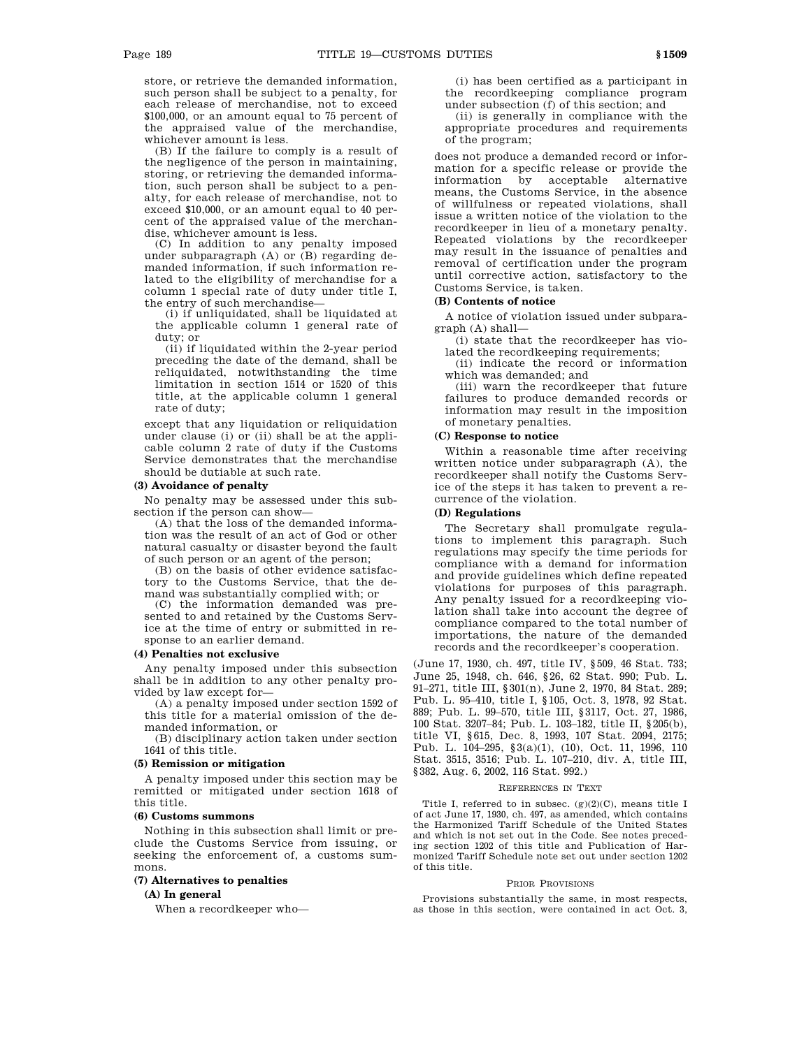store, or retrieve the demanded information, such person shall be subject to a penalty, for each release of merchandise, not to exceed \$100,000, or an amount equal to 75 percent of the appraised value of the merchandise, whichever amount is less.

(B) If the failure to comply is a result of the negligence of the person in maintaining, storing, or retrieving the demanded information, such person shall be subject to a penalty, for each release of merchandise, not to exceed \$10,000, or an amount equal to 40 percent of the appraised value of the merchandise, whichever amount is less.

(C) In addition to any penalty imposed under subparagraph (A) or (B) regarding demanded information, if such information related to the eligibility of merchandise for a column 1 special rate of duty under title I, the entry of such merchandise—

(i) if unliquidated, shall be liquidated at the applicable column 1 general rate of duty; or

(ii) if liquidated within the 2-year period preceding the date of the demand, shall be reliquidated, notwithstanding the time limitation in section 1514 or 1520 of this title, at the applicable column 1 general rate of duty;

except that any liquidation or reliquidation under clause (i) or (ii) shall be at the applicable column 2 rate of duty if the Customs Service demonstrates that the merchandise should be dutiable at such rate.

## **(3) Avoidance of penalty**

No penalty may be assessed under this subsection if the person can show—

(A) that the loss of the demanded information was the result of an act of God or other natural casualty or disaster beyond the fault of such person or an agent of the person;

(B) on the basis of other evidence satisfactory to the Customs Service, that the demand was substantially complied with; or

(C) the information demanded was presented to and retained by the Customs Service at the time of entry or submitted in response to an earlier demand.

## **(4) Penalties not exclusive**

Any penalty imposed under this subsection shall be in addition to any other penalty provided by law except for—

(A) a penalty imposed under section 1592 of this title for a material omission of the demanded information, or

(B) disciplinary action taken under section 1641 of this title.

#### **(5) Remission or mitigation**

A penalty imposed under this section may be remitted or mitigated under section 1618 of this title.

#### **(6) Customs summons**

Nothing in this subsection shall limit or preclude the Customs Service from issuing, or seeking the enforcement of, a customs summons.

## **(7) Alternatives to penalties**

**(A) In general**

When a recordkeeper who—

(i) has been certified as a participant in the recordkeeping compliance program under subsection (f) of this section; and

(ii) is generally in compliance with the appropriate procedures and requirements of the program;

does not produce a demanded record or information for a specific release or provide the information by acceptable alternative means, the Customs Service, in the absence of willfulness or repeated violations, shall issue a written notice of the violation to the recordkeeper in lieu of a monetary penalty. Repeated violations by the recordkeeper may result in the issuance of penalties and removal of certification under the program until corrective action, satisfactory to the Customs Service, is taken.

### **(B) Contents of notice**

A notice of violation issued under subparagraph (A) shall—

(i) state that the recordkeeper has violated the recordkeeping requirements;

(ii) indicate the record or information which was demanded; and

(iii) warn the recordkeeper that future failures to produce demanded records or information may result in the imposition of monetary penalties.

#### **(C) Response to notice**

Within a reasonable time after receiving written notice under subparagraph (A), the recordkeeper shall notify the Customs Service of the steps it has taken to prevent a recurrence of the violation.

#### **(D) Regulations**

The Secretary shall promulgate regulations to implement this paragraph. Such regulations may specify the time periods for compliance with a demand for information and provide guidelines which define repeated violations for purposes of this paragraph. Any penalty issued for a recordkeeping violation shall take into account the degree of compliance compared to the total number of importations, the nature of the demanded records and the recordkeeper's cooperation.

(June 17, 1930, ch. 497, title IV, §509, 46 Stat. 733; June 25, 1948, ch. 646, §26, 62 Stat. 990; Pub. L. 91–271, title III, §301(n), June 2, 1970, 84 Stat. 289; Pub. L. 95–410, title I, §105, Oct. 3, 1978, 92 Stat. 889; Pub. L. 99–570, title III, §3117, Oct. 27, 1986, 100 Stat. 3207–84; Pub. L. 103–182, title II, §205(b), title VI, §615, Dec. 8, 1993, 107 Stat. 2094, 2175; Pub. L. 104–295, §3(a)(1), (10), Oct. 11, 1996, 110 Stat. 3515, 3516; Pub. L. 107–210, div. A, title III, §382, Aug. 6, 2002, 116 Stat. 992.)

#### REFERENCES IN TEXT

Title I, referred to in subsec.  $(g)(2)(C)$ , means title I of act June 17, 1930, ch. 497, as amended, which contains the Harmonized Tariff Schedule of the United States and which is not set out in the Code. See notes preceding section 1202 of this title and Publication of Harmonized Tariff Schedule note set out under section 1202 of this title.

#### PRIOR PROVISIONS

Provisions substantially the same, in most respects, as those in this section, were contained in act Oct. 3,